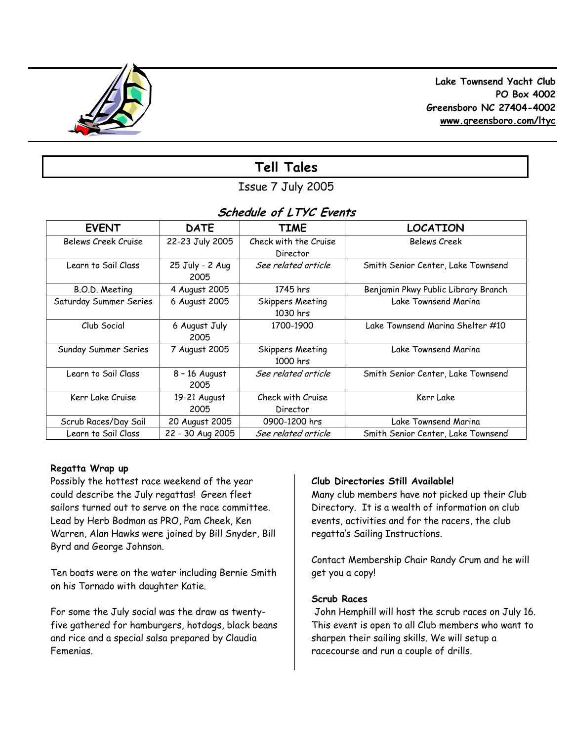

 **Lake Townsend Yacht Club PO Box 4002 Greensboro NC 27404-4002 www.greensboro.com/ltyc** 

# **Tell Tales**

Issue 7 July 2005

# **Schedule of LTYC Events**

| <b>EVENT</b>           | <b>DATE</b>             | <b>TIME</b>                           | <b>LOCATION</b>                     |
|------------------------|-------------------------|---------------------------------------|-------------------------------------|
| Belews Creek Cruise    | 22-23 July 2005         | Check with the Cruise<br>Director     | <b>Belews Creek</b>                 |
| Learn to Sail Class    | 25 July - 2 Aug<br>2005 | See related article                   | Smith Senior Center, Lake Townsend  |
| B.O.D. Meeting         | 4 August 2005           | 1745 hrs                              | Benjamin Pkwy Public Library Branch |
| Saturday Summer Series | 6 August 2005           | <b>Skippers Meeting</b><br>$1030$ hrs | Lake Townsend Marina                |
| Club Social            | 6 August July<br>2005   | 1700-1900                             | Lake Townsend Marina Shelter #10    |
| Sunday Summer Series   | 7 August 2005           | <b>Skippers Meeting</b><br>1000 hrs   | Lake Townsend Marina                |
| Learn to Sail Class    | $8 - 16$ August<br>2005 | See related article                   | Smith Senior Center, Lake Townsend  |
| Kerr Lake Cruise       | 19-21 August<br>2005    | Check with Cruise<br>Director         | Kerr Lake                           |
| Scrub Races/Day Sail   | 20 August 2005          | 0900-1200 hrs                         | Lake Townsend Marina                |
| Learn to Sail Class    | 22 - 30 Aug 2005        | See related article                   | Smith Senior Center, Lake Townsend  |

# **Regatta Wrap up**

Possibly the hottest race weekend of the year could describe the July regattas! Green fleet sailors turned out to serve on the race committee. Lead by Herb Bodman as PRO, Pam Cheek, Ken Warren, Alan Hawks were joined by Bill Snyder, Bill Byrd and George Johnson.

Ten boats were on the water including Bernie Smith on his Tornado with daughter Katie.

For some the July social was the draw as twentyfive gathered for hamburgers, hotdogs, black beans and rice and a special salsa prepared by Claudia Femenias.

# **Club Directories Still Available!**

Many club members have not picked up their Club Directory. It is a wealth of information on club events, activities and for the racers, the club regatta's Sailing Instructions.

Contact Membership Chair Randy Crum and he will get you a copy!

### **Scrub Races**

 John Hemphill will host the scrub races on July 16. This event is open to all Club members who want to sharpen their sailing skills. We will setup a racecourse and run a couple of drills.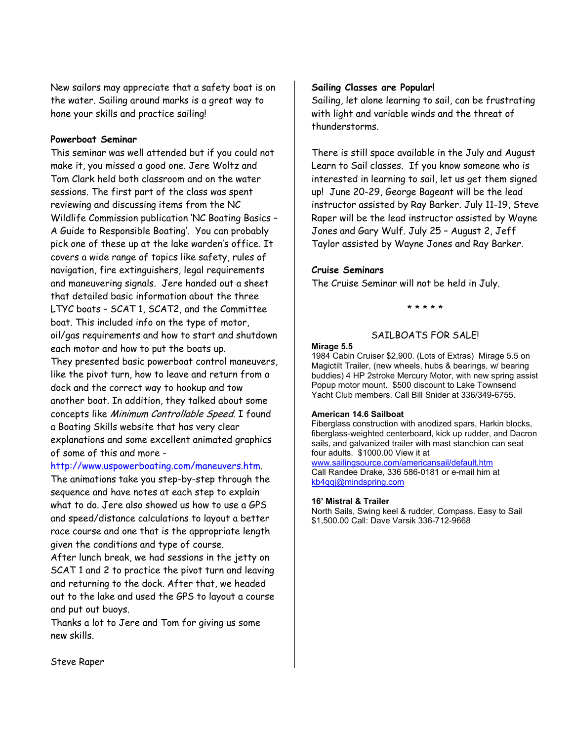New sailors may appreciate that a safety boat is on the water. Sailing around marks is a great way to hone your skills and practice sailing!

#### **Powerboat Seminar**

This seminar was well attended but if you could not make it, you missed a good one. Jere Woltz and Tom Clark held both classroom and on the water sessions. The first part of the class was spent reviewing and discussing items from the NC Wildlife Commission publication 'NC Boating Basics – A Guide to Responsible Boating'. You can probably pick one of these up at the lake warden's office. It covers a wide range of topics like safety, rules of navigation, fire extinguishers, legal requirements and maneuvering signals. Jere handed out a sheet that detailed basic information about the three LTYC boats – SCAT 1, SCAT2, and the Committee boat. This included info on the type of motor, oil/gas requirements and how to start and shutdown each motor and how to put the boats up.

They presented basic powerboat control maneuvers, like the pivot turn, how to leave and return from a dock and the correct way to hookup and tow another boat. In addition, they talked about some concepts like Minimum Controllable Speed. I found a Boating Skills website that has very clear explanations and some excellent animated graphics of some of this and more -

http://www.uspowerboating.com/maneuvers.htm.

The animations take you step-by-step through the sequence and have notes at each step to explain what to do. Jere also showed us how to use a GPS and speed/distance calculations to layout a better race course and one that is the appropriate length given the conditions and type of course.

After lunch break, we had sessions in the jetty on SCAT 1 and 2 to practice the pivot turn and leaving and returning to the dock. After that, we headed out to the lake and used the GPS to layout a course and put out buoys.

Thanks a lot to Jere and Tom for giving us some new skills.

### **Sailing Classes are Popular!**

Sailing, let alone learning to sail, can be frustrating with light and variable winds and the threat of thunderstorms.

There is still space available in the July and August Learn to Sail classes. If you know someone who is interested in learning to sail, let us get them signed up! June 20-29, George Bageant will be the lead instructor assisted by Ray Barker. July 11-19, Steve Raper will be the lead instructor assisted by Wayne Jones and Gary Wulf. July 25 – August 2, Jeff Taylor assisted by Wayne Jones and Ray Barker.

### **Cruise Seminars**

The Cruise Seminar will not be held in July.

\* \* \* \* \*

# SAILBOATS FOR SALE!

#### **Mirage 5.5**

1984 Cabin Cruiser \$2,900. (Lots of Extras) Mirage 5.5 on Magictilt Trailer, (new wheels, hubs & bearings, w/ bearing buddies) 4 HP 2stroke Mercury Motor, with new spring assist Popup motor mount. \$500 discount to Lake Townsend Yacht Club members. Call Bill Snider at 336/349-6755.

#### **American 14.6 Sailboat**

Fiberglass construction with anodized spars, Harkin blocks, fiberglass-weighted centerboard, kick up rudder, and Dacron sails, and galvanized trailer with mast stanchion can seat four adults. \$1000.00 View it at

www.sailingsource.com/americansail/default.htm Call Randee Drake, 336 586-0181 or e-mail him at kb4qqj@mindspring.com

#### **16' Mistral & Trailer**

North Sails, Swing keel & rudder, Compass. Easy to Sail \$1,500.00 Call: Dave Varsik 336-712-9668

Steve Raper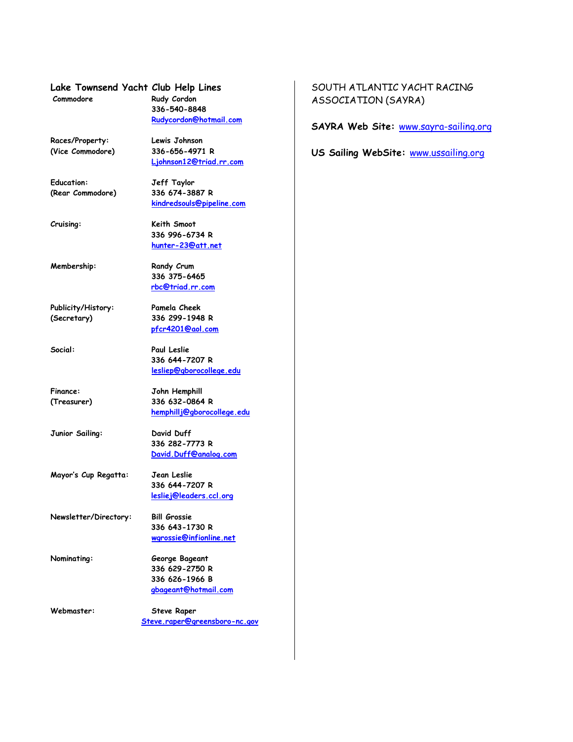**Lake Townsend Yacht Club Help Lines Commodore Rudy Cordon**

**336-540-8848** 

**Rudycordon@hotmail.com**

 **Ljohnson12@triad.rr.com**

 **kindredsouls@pipeline.com**

 **336 996-6734 R hunter-23@att.net** 

 **336 375-6465 rbc@triad.rr.com** 

 **pfcr4201@aol.com** 

 **336 644-7207 R lesliep@gborocollege.edu** 

 **336 282-7773 R David.Duff@analog.com** 

 **336 644-7207 R lesliej@leaders.ccl.org**

 **hemphillj@gborocollege.edu**

**Races/Property: Lewis Johnson (Vice Commodore) 336-656-4971 R** 

**Education: Jeff Taylor (Rear Commodore) 336 674-3887 R** 

**Cruising: Keith Smoot** 

**Membership: Randy Crum** 

**Publicity/History: Pamela Cheek (Secretary) 336 299-1948 R** 

**Social: Paul Leslie** 

**Finance: John Hemphill (Treasurer) 336 632-0864 R** 

**Junior Sailing: David Duff** 

**Mayor's Cup Regatta: Jean Leslie** 

**Newsletter/Directory: Bill Grossie 336 643-1730 R wgrossie@infionline.net** 

**Nominating: George Bageant 336 629-2750 R 336 626-1966 B gbageant@hotmail.com** 

**Webmaster: Steve Raper Steve.raper@greensboro-nc.gov** 

# SOUTH ATLANTIC YACHT RACING ASSOCIATION (SAYRA)

**SAYRA Web Site:** www.sayra-sailing.org

**US Sailing WebSite:** www.ussailing.org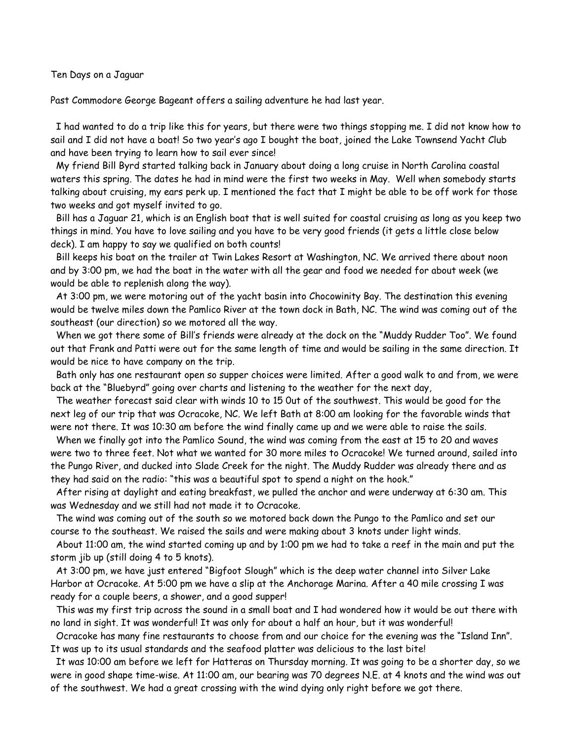Ten Days on a Jaguar

Past Commodore George Bageant offers a sailing adventure he had last year.

 I had wanted to do a trip like this for years, but there were two things stopping me. I did not know how to sail and I did not have a boat! So two year's ago I bought the boat, joined the Lake Townsend Yacht Club and have been trying to learn how to sail ever since!

 My friend Bill Byrd started talking back in January about doing a long cruise in North Carolina coastal waters this spring. The dates he had in mind were the first two weeks in May. Well when somebody starts talking about cruising, my ears perk up. I mentioned the fact that I might be able to be off work for those two weeks and got myself invited to go.

 Bill has a Jaguar 21, which is an English boat that is well suited for coastal cruising as long as you keep two things in mind. You have to love sailing and you have to be very good friends (it gets a little close below deck). I am happy to say we qualified on both counts!

 Bill keeps his boat on the trailer at Twin Lakes Resort at Washington, NC. We arrived there about noon and by 3:00 pm, we had the boat in the water with all the gear and food we needed for about week (we would be able to replenish along the way).

 At 3:00 pm, we were motoring out of the yacht basin into Chocowinity Bay. The destination this evening would be twelve miles down the Pamlico River at the town dock in Bath, NC. The wind was coming out of the southeast (our direction) so we motored all the way.

 When we got there some of Bill's friends were already at the dock on the "Muddy Rudder Too". We found out that Frank and Patti were out for the same length of time and would be sailing in the same direction. It would be nice to have company on the trip.

 Bath only has one restaurant open so supper choices were limited. After a good walk to and from, we were back at the "Bluebyrd" going over charts and listening to the weather for the next day,

 The weather forecast said clear with winds 10 to 15 0ut of the southwest. This would be good for the next leg of our trip that was Ocracoke, NC. We left Bath at 8:00 am looking for the favorable winds that were not there. It was 10:30 am before the wind finally came up and we were able to raise the sails.

 When we finally got into the Pamlico Sound, the wind was coming from the east at 15 to 20 and waves were two to three feet. Not what we wanted for 30 more miles to Ocracoke! We turned around, sailed into the Pungo River, and ducked into Slade Creek for the night. The Muddy Rudder was already there and as they had said on the radio: "this was a beautiful spot to spend a night on the hook."

 After rising at daylight and eating breakfast, we pulled the anchor and were underway at 6:30 am. This was Wednesday and we still had not made it to Ocracoke.

 The wind was coming out of the south so we motored back down the Pungo to the Pamlico and set our course to the southeast. We raised the sails and were making about 3 knots under light winds.

 About 11:00 am, the wind started coming up and by 1:00 pm we had to take a reef in the main and put the storm jib up (still doing 4 to 5 knots).

 At 3:00 pm, we have just entered "Bigfoot Slough" which is the deep water channel into Silver Lake Harbor at Ocracoke. At 5:00 pm we have a slip at the Anchorage Marina. After a 40 mile crossing I was ready for a couple beers, a shower, and a good supper!

 This was my first trip across the sound in a small boat and I had wondered how it would be out there with no land in sight. It was wonderful! It was only for about a half an hour, but it was wonderful!

 Ocracoke has many fine restaurants to choose from and our choice for the evening was the "Island Inn". It was up to its usual standards and the seafood platter was delicious to the last bite!

 It was 10:00 am before we left for Hatteras on Thursday morning. It was going to be a shorter day, so we were in good shape time-wise. At 11:00 am, our bearing was 70 degrees N.E. at 4 knots and the wind was out of the southwest. We had a great crossing with the wind dying only right before we got there.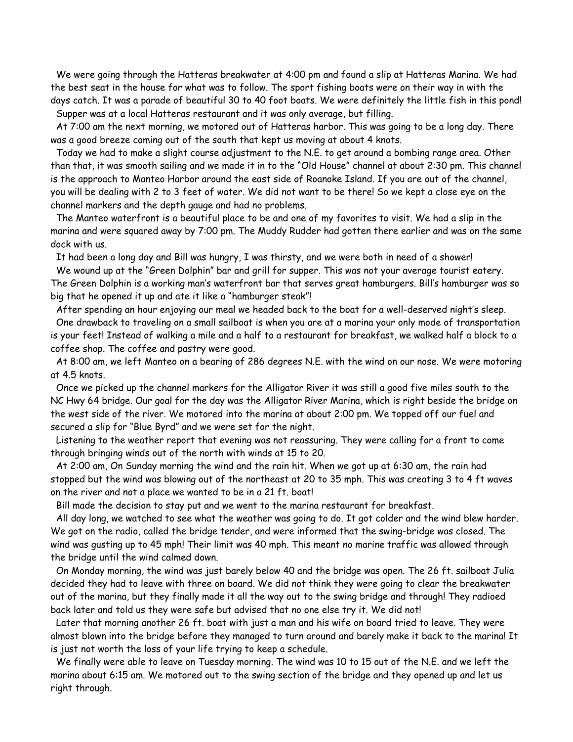We were going through the Hatteras breakwater at 4:00 pm and found a slip at Hatteras Marina. We had the best seat in the house for what was to follow. The sport fishing boats were on their way in with the days catch. It was a parade of beautiful 30 to 40 foot boats. We were definitely the little fish in this pond! Supper was at a local Hatteras restaurant and it was only average, but filling.

 At 7:00 am the next morning, we motored out of Hatteras harbor. This was going to be a long day. There was a good breeze coming out of the south that kept us moving at about 4 knots.

 Today we had to make a slight course adjustment to the N.E. to get around a bombing range area. Other than that, it was smooth sailing and we made it in to the "Old House" channel at about 2:30 pm. This channel is the approach to Manteo Harbor around the east side of Roanoke Island. If you are out of the channel, you will be dealing with 2 to 3 feet of water. We did not want to be there! So we kept a close eye on the channel markers and the depth gauge and had no problems.

 The Manteo waterfront is a beautiful place to be and one of my favorites to visit. We had a slip in the marina and were squared away by 7:00 pm. The Muddy Rudder had gotten there earlier and was on the same dock with us.

It had been a long day and Bill was hungry, I was thirsty, and we were both in need of a shower!

 We wound up at the "Green Dolphin" bar and grill for supper. This was not your average tourist eatery. The Green Dolphin is a working man's waterfront bar that serves great hamburgers. Bill's hamburger was so big that he opened it up and ate it like a "hamburger steak"!

 After spending an hour enjoying our meal we headed back to the boat for a well-deserved night's sleep. One drawback to traveling on a small sailboat is when you are at a marina your only mode of transportation is your feet! Instead of walking a mile and a half to a restaurant for breakfast, we walked half a block to a coffee shop. The coffee and pastry were good.

 At 8:00 am, we left Manteo on a bearing of 286 degrees N.E. with the wind on our nose. We were motoring at 4.5 knots.

 Once we picked up the channel markers for the Alligator River it was still a good five miles south to the NC Hwy 64 bridge. Our goal for the day was the Alligator River Marina, which is right beside the bridge on the west side of the river. We motored into the marina at about 2:00 pm. We topped off our fuel and secured a slip for "Blue Byrd" and we were set for the night.

 Listening to the weather report that evening was not reassuring. They were calling for a front to come through bringing winds out of the north with winds at 15 to 20.

 At 2:00 am, On Sunday morning the wind and the rain hit. When we got up at 6:30 am, the rain had stopped but the wind was blowing out of the northeast at 20 to 35 mph. This was creating 3 to 4 ft waves on the river and not a place we wanted to be in a 21 ft. boat!

Bill made the decision to stay put and we went to the marina restaurant for breakfast.

 All day long, we watched to see what the weather was going to do. It got colder and the wind blew harder. We got on the radio, called the bridge tender, and were informed that the swing-bridge was closed. The wind was gusting up to 45 mph! Their limit was 40 mph. This meant no marine traffic was allowed through the bridge until the wind calmed down.

 On Monday morning, the wind was just barely below 40 and the bridge was open. The 26 ft. sailboat Julia decided they had to leave with three on board. We did not think they were going to clear the breakwater out of the marina, but they finally made it all the way out to the swing bridge and through! They radioed back later and told us they were safe but advised that no one else try it. We did not!

 Later that morning another 26 ft. boat with just a man and his wife on board tried to leave. They were almost blown into the bridge before they managed to turn around and barely make it back to the marina! It is just not worth the loss of your life trying to keep a schedule.

 We finally were able to leave on Tuesday morning. The wind was 10 to 15 out of the N.E. and we left the marina about 6:15 am. We motored out to the swing section of the bridge and they opened up and let us right through.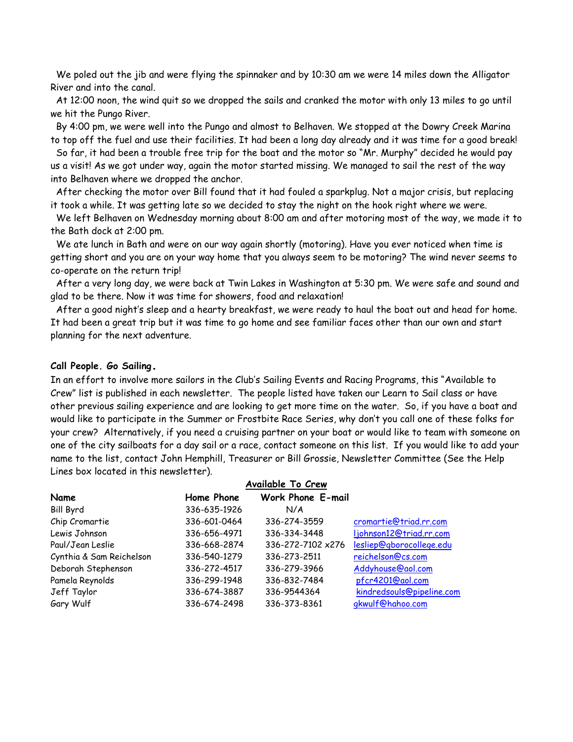We poled out the jib and were flying the spinnaker and by 10:30 am we were 14 miles down the Alligator River and into the canal.

 At 12:00 noon, the wind quit so we dropped the sails and cranked the motor with only 13 miles to go until we hit the Pungo River.

 By 4:00 pm, we were well into the Pungo and almost to Belhaven. We stopped at the Dowry Creek Marina to top off the fuel and use their facilities. It had been a long day already and it was time for a good break!

 So far, it had been a trouble free trip for the boat and the motor so "Mr. Murphy" decided he would pay us a visit! As we got under way, again the motor started missing. We managed to sail the rest of the way into Belhaven where we dropped the anchor.

 After checking the motor over Bill found that it had fouled a sparkplug. Not a major crisis, but replacing it took a while. It was getting late so we decided to stay the night on the hook right where we were.

 We left Belhaven on Wednesday morning about 8:00 am and after motoring most of the way, we made it to the Bath dock at 2:00 pm.

 We ate lunch in Bath and were on our way again shortly (motoring). Have you ever noticed when time is getting short and you are on your way home that you always seem to be motoring? The wind never seems to co-operate on the return trip!

 After a very long day, we were back at Twin Lakes in Washington at 5:30 pm. We were safe and sound and glad to be there. Now it was time for showers, food and relaxation!

 After a good night's sleep and a hearty breakfast, we were ready to haul the boat out and head for home. It had been a great trip but it was time to go home and see familiar faces other than our own and start planning for the next adventure.

#### **Call People. Go Sailing.**

In an effort to involve more sailors in the Club's Sailing Events and Racing Programs, this "Available to Crew" list is published in each newsletter. The people listed have taken our Learn to Sail class or have other previous sailing experience and are looking to get more time on the water. So, if you have a boat and would like to participate in the Summer or Frostbite Race Series, why don't you call one of these folks for your crew? Alternatively, if you need a cruising partner on your boat or would like to team with someone on one of the city sailboats for a day sail or a race, contact someone on this list. If you would like to add your name to the list, contact John Hemphill, Treasurer or Bill Grossie, Newsletter Committee (See the Help Lines box located in this newsletter).

|                          |              | Available To Crew        |                           |
|--------------------------|--------------|--------------------------|---------------------------|
| Name                     | Home Phone   | <b>Work Phone E-mail</b> |                           |
| <b>Bill Byrd</b>         | 336-635-1926 | N/A                      |                           |
| Chip Cromartie           | 336-601-0464 | 336-274-3559             | cromartie@triad.rr.com    |
| Lewis Johnson            | 336-656-4971 | 336-334-3448             | ljohnson12@triad.rr.com   |
| Paul/Jean Leslie         | 336-668-2874 | 336-272-7102 x276        | lesliep@gborocollege.edu  |
| Cynthia & Sam Reichelson | 336-540-1279 | 336-273-2511             | reichelson@cs.com         |
| Deborah Stephenson       | 336-272-4517 | 336-279-3966             | Addyhouse@aol.com         |
| Pamela Reynolds          | 336-299-1948 | 336-832-7484             | pfcr4201@aol.com          |
| Jeff Taylor              | 336-674-3887 | 336-9544364              | kindredsouls@pipeline.com |
| Gary Wulf                | 336-674-2498 | 336-373-8361             | gkwulf@hahoo.com          |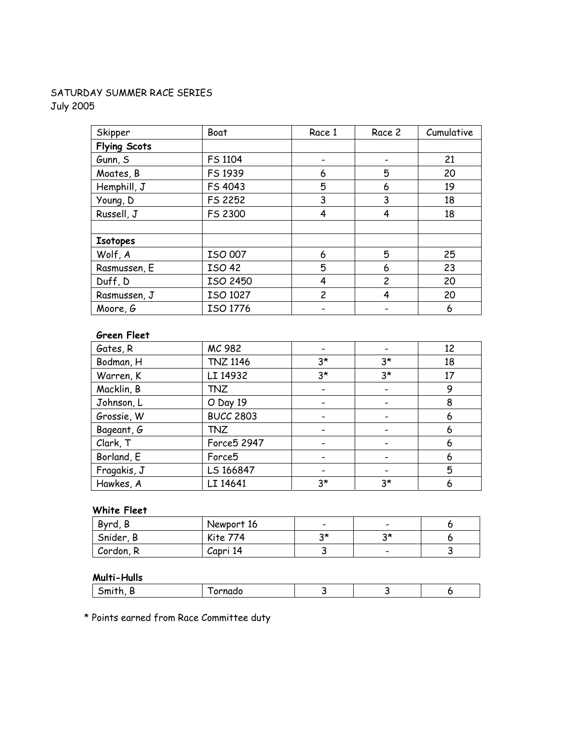# SATURDAY SUMMER RACE SERIES July 2005

| Skipper             | Boat          | Race 1         | Race 2         | Cumulative |
|---------------------|---------------|----------------|----------------|------------|
| <b>Flying Scots</b> |               |                |                |            |
| Gunn, S             | FS 1104       |                |                | 21         |
| Moates, B           | FS 1939       | 6              | 5              | 20         |
| Hemphill, J         | FS 4043       | 5              | 6              | 19         |
| Young, D            | FS 2252       | 3              | 3              | 18         |
| Russell, J          | FS 2300       | 4              | 4              | 18         |
|                     |               |                |                |            |
| <b>Isotopes</b>     |               |                |                |            |
| Wolf, A             | ISO 007       | 6              | 5              | 25         |
| Rasmussen, E        | <b>ISO 42</b> | 5              | 6              | 23         |
| Duff, D             | ISO 2450      | 4              | $\overline{c}$ | 20         |
| Rasmussen, J        | ISO 1027      | $\overline{c}$ | 4              | 20         |
| Moore, G            | ISO 1776      |                |                | 6          |

### **Green Fleet**

| Gates, R    | MC 982           |      |                              | 12 |
|-------------|------------------|------|------------------------------|----|
| Bodman, H   | <b>TNZ 1146</b>  | $3*$ | $3*$                         | 18 |
| Warren, K   | LI 14932         | $3*$ | $3^{\star}$                  | 17 |
| Macklin, B  | <b>TNZ</b>       |      |                              | 9  |
| Johnson, L  | O Day 19         |      | $\overline{\phantom{a}}$     | 8  |
| Grossie, W  | <b>BUCC 2803</b> |      |                              | 6  |
| Bageant, G  | <b>TNZ</b>       |      |                              | 6  |
| Clark, T    | Force5 2947      |      | $\qquad \qquad \blacksquare$ | 6  |
| Borland, E  | Force5           |      |                              | 6  |
| Fragakis, J | LS 166847        |      |                              | 5  |
| Hawkes, A   | LI 14641         | $3*$ | $3*$                         | 6  |

# **White Fleet**

| Byrd, B   | Newport 16      | $\overline{\phantom{0}}$ |    |  |
|-----------|-----------------|--------------------------|----|--|
| Snider, B | <b>Kite 774</b> | つま                       | つま |  |
| Cordon, R | Capri 14        |                          |    |  |

# **Multi-Hulls**

|  |  | .<br>u |  |  |  |
|--|--|--------|--|--|--|
|--|--|--------|--|--|--|

\* Points earned from Race Committee duty